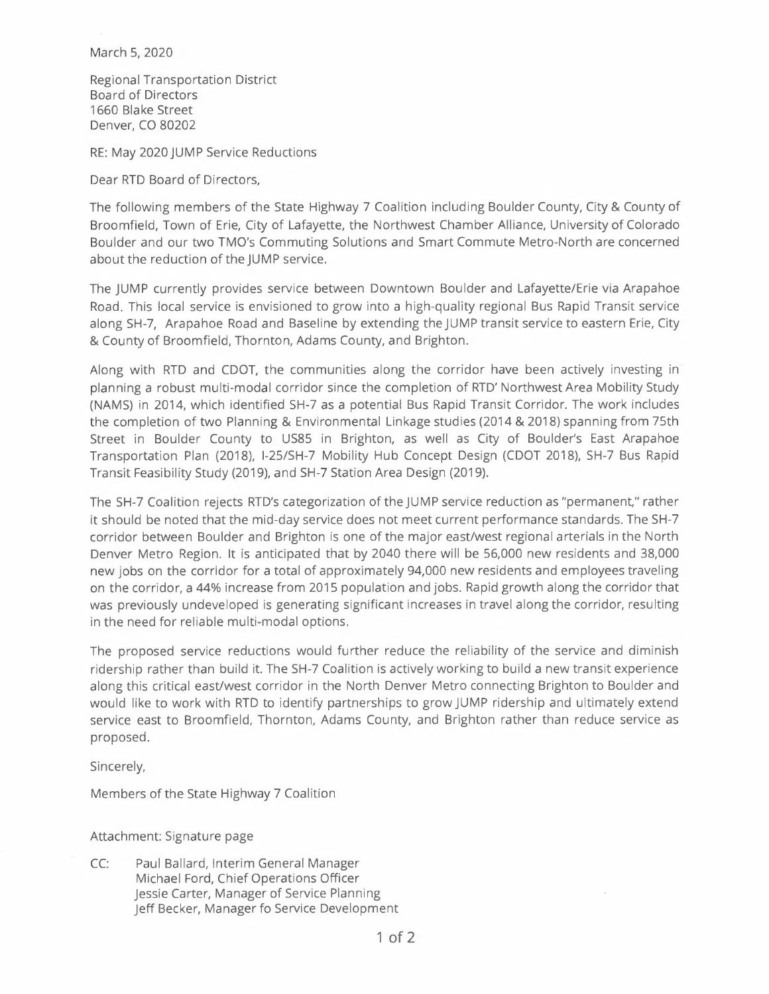March 5, 2020

Regional Transportation District Board of Directors 1660 Blake Street Denver, CO 80202

RE: May 2020 JUMP Service Reductions

Dear RTD Board of Directors,

The following members of the State Highway 7 Coalition including Boulder County, City & County of Broomfield, Town of Erie, City of Lafayette, the Northwest Chamber Alliance, University of Colorado Boulder and our two TMO's Commuting Solutions and Smart Commute Metro-North are concerned about the reduction of the JUMP service.

The JUMP currently provides service between Downtown Boulder and Lafayette/Erie via Arapahoe Road. This local service is envisioned to grow into a high-quality regional Bus Rapid Transit service along SH-7, Arapahoe Road and Baseline by extending the JUMP transit service to eastern Erie, City & County of Broomfield, Thornton, Adams County, and Brighton.

Along with RTD and CDOT, the communities along the corridor have been actively investing in planning a robust multi-modal corridor since the completion of RTD' Northwest Area Mobility Study (NAMS) in 2014, which identified SH-7 as a potential Bus Rapid Transit Corridor. The work includes the completion of two Planning & Environmental Linkage studies (2014 & 2018) spanning from 75th Street in Boulder County to US85 in Brighton, as well as City of Boulder's East Arapahoe Transportation Plan (2018), I-25/SH-7 Mobility Hub Concept Design (CDOT 2018), SH-7 Bus Rapid Transit Feasibility Study (2019), and SH-7 Station Area Design (2019).

The SH-7 Coalition rejects RTD's categorization of the JUMP service reduction as "permanent," rather it should be noted that the mid-day service does not meet current performance standards. The SH-7 corridor between Boulder and Brighton is one of the major east/west regional arterials in the North Denver Metro Region. It is anticipated that by 2040 there will be 56,000 new residents and 38,000 new jobs on the corridor for a total of approximately 94,000 new residents and employees traveling on the corridor, a 44% increase from 2015 population and jobs. Rapid growth along the corridor that was previously undeveloped is generating significant increases in travel along the corridor, resulting in the need for reliable multi-modal options.

The proposed service reductions would further reduce the reliability of the service and diminish ridership rather than build it. The SH-7 Coalition is actively working to build a new transit experience along this critical east/west corridor in the North Denver Metro connecting Brighton to Boulder and would like to work with RTD to identify partnerships to grow JUMP ridership and ultimately extend service east to Broomfield, Thornton, Adams County, and Brighton rather than reduce service as proposed.

Sincerely,

Members of the State Highway 7 Coalition

Attachment: Signature page

CC: Paul Ballard, Interim General Manager Michael Ford, Chief Operations Officer Jessie Carter, Manager of Service Planning Jeff Becker, Manager fo Service Development